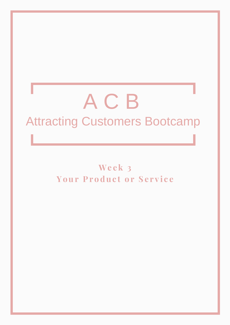# A C B Attracting Customers Bootcamp

**We e k 3 Your Pr o duc t o r S e r v i c e**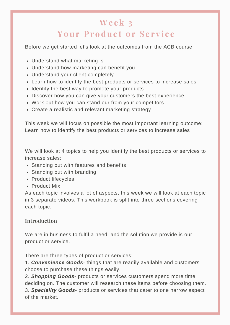# **We e k 3 Your Pr o duc t o r S e r v i c e**

Before we get started let's look at the outcomes from the ACB course:

- Understand what marketing is
- Understand how marketing can benefit you
- Understand your client completely
- Learn how to identify the best products or services to increase sales
- Identify the best way to promote your products
- Discover how you can give your customers the best experience
- Work out how you can stand our from your competitors
- Create a realistic and relevant marketing strategy

This week we will focus on possible the most important learning outcome: Learn how to identify the best products or services to increase sales

We will look at 4 topics to help you identify the best products or services to increase sales:

- Standing out with features and benefits
- Standing out with branding
- Product lifecycles
- Product Mix

As each topic involves a lot of aspects, this week we will look at each topic in 3 separate videos. This workbook is split into three sections covering each topic.

# **Introduction**

We are in business to fulfil a need, and the solution we provide is our product or service.

There are three types of product or services:

1. *Convenience Goods*- things that are readily available and customers choose to purchase these things easily.

2. *Shopping Goods*- products or services customers spend more time deciding on. The customer will research these items before choosing them. 3. *Speciality Goods*- products or services that cater to one narrow aspect of the market.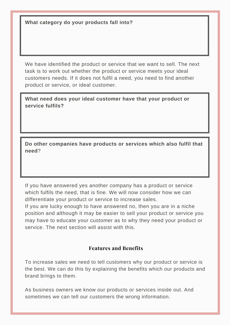**What category do your products fall into?**

We have identified the product or service that we want to sell. The next task is to work out whether the product or service meets your ideal customers needs. If it does not fulfil a need, you need to find another product or service, or ideal customer.

**What need does your ideal customer have that your product or service fulfils?**

**Do other companies have products or services which also fulfil that need**?

If you have answered yes another company has a product or service which fulfils the need, that is fine. We will now consider how we can differentiate your product or service to increase sales.

If you are lucky enough to have answered no, then you are in a niche position and although it may be easier to sell your product or service you may have to educate your customer as to why they need your product or service. The next section will assist with this.

# **Features and Benefits**

To increase sales we need to tell customers why our product or service is the best. We can do this by explaining the benefits which our products and brand brings to them.

As business owners we know our products or services inside out. And sometimes we can tell our customers the wrong information.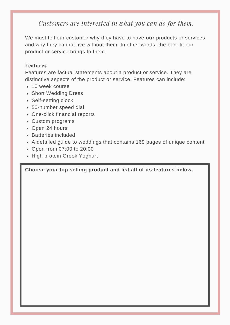*Customers are interested in what you can do for them.*

We must tell our customer why they have to have **our** products or services and why they cannot live without them. In other words, the benefit our product or service brings to them.

#### **Features**

Features are factual statements about a product or service. They are distinctive aspects of the product or service. Features can include:

- 10 week course
- Short Wedding Dress
- Self-setting clock
- 50-number speed dial
- One-click financial reports
- Custom programs
- Open 24 hours
- Batteries included
- A detailed guide to weddings that contains 169 pages of unique content
- Open from 07:00 to 20:00
- High protein Greek Yoghurt

**Choose your top selling product and list all of its features below.**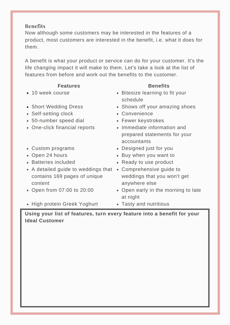## **Benefits**

Now although some customers may be interested in the features of a product, most customers are interested in the benefit, i.e. what it does for them.

A benefit is what your product or service can do for your customer. It's the life changing impact it will make to them. Let's take a look at the list of features from before and work out the benefits to the customer.

#### **Features**

- 10 week course
- Short Wedding Dress
- Self-setting clock
- 50-number speed dial
- One-click financial reports
- Custom programs
- Open 24 hours
- Batteries included
- A detailed guide to weddings that Comprehensive guide to contains 169 pages of unique content
- Open from 07:00 to 20:00
- High protein Greek Yoghurt

# **Benefits**

- Bitesize learning to fit your schedule
- Shows off your amazing shoes
- Convenience
- Fewer keystrokes
- Immediate information and prepared statements for your accountants
- Designed just for you
- Buy when you want to
- Ready to use product
- weddings that you won't get anywhere else
- Open early in the morning to late at night
- Tasty and nutritious

**Using your list of features, turn every feature into a benefit for your Ideal Customer**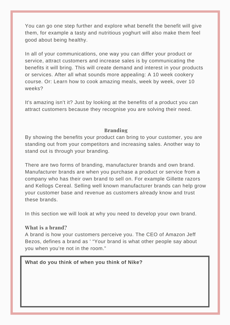You can go one step further and explore what benefit the benefit will give them, for example a tasty and nutritious yoghurt will also make them feel good about being healthy.

In all of your communications, one way you can differ your product or service, attract customers and increase sales is by communicating the benefits it will bring. This will create demand and interest in your products or services. After all what sounds more appealing: A 10 week cookery course. Or: Learn how to cook amazing meals, week by week, over 10 weeks?

It's amazing isn't it? Just by looking at the benefits of a product you can attract customers because they recognise you are solving their need.

# **Branding**

By showing the benefits your product can bring to your customer, you are standing out from your competitors and increasing sales. Another way to stand out is through your branding.

There are two forms of branding, manufacturer brands and own brand. Manufacturer brands are when you purchase a product or service from a company who has their own brand to sell on. For example Gillette razors and Kellogs Cereal. Selling well known manufacturer brands can help grow your customer base and revenue as customers already know and trust these brands.

In this section we will look at why you need to develop your own brand.

#### **What is a brand?**

A brand is how your customers perceive you. The CEO of Amazon Jeff Bezos, defines a brand as ' "Your brand is what other people say about you when you're not in the room."

# **What do you think of when you think of Nike?**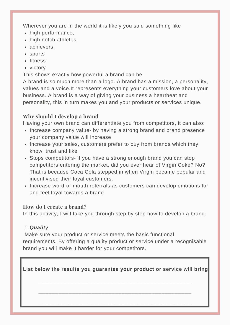Wherever you are in the world it is likely you said something like

- high performance,
- high notch athletes,
- achievers,
- sports
- fitness
- victory

This shows exactly how powerful a brand can be.

A brand is so much more than a logo. A brand has a mission, a personality, values and a voice.It represents everything your customers love about your business. A brand is a way of giving your business a heartbeat and personality, this in turn makes you and your products or services unique.

# **Why should I develop a brand**

Having your own brand can differentiate you from competitors, it can also:

- Increase company value- by having a strong brand and brand presence your company value will increase
- Increase your sales, customers prefer to buy from brands which they know, trust and like
- Stops competitors- if you have a strong enough brand you can stop competitors entering the market, did you ever hear of Virgin Coke? No? That is because Coca Cola stepped in when Virgin became popular and incentivised their loyal customers.
- Increase word-of-mouth referrals as customers can develop emotions for and feel loyal towards a brand

# **How do I create a brand?**

In this activity, I will take you through step by step how to develop a brand.

# *Quality* 1.

Make sure your product or service meets the basic functional requirements. By offering a quality product or service under a recognisable brand you will make it harder for your competitors.

**List below the results you guarantee your product or service will bring**

**\_\_\_\_\_\_\_\_\_\_\_\_\_\_\_\_\_\_\_\_\_\_\_\_\_\_\_\_\_\_\_\_\_\_\_\_\_\_\_\_\_\_\_\_\_\_**

**\_\_\_\_\_\_\_\_\_\_\_\_\_\_\_\_\_\_\_\_\_\_\_\_\_\_\_\_\_\_\_\_\_\_\_\_\_\_\_\_\_\_\_\_\_\_**

**\_\_\_\_\_\_\_\_\_\_\_\_\_\_\_\_\_\_\_\_\_\_\_\_\_\_\_\_\_\_\_\_\_\_\_\_\_\_\_\_\_\_\_\_\_\_**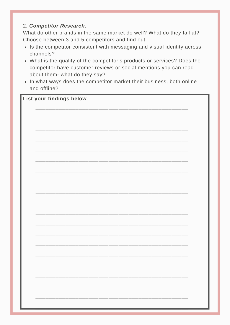# 2. *Competitor Research.*

What do other brands in the same market do well? What do they fail at? Choose between 3 and 5 competitors and find out

- Is the competitor consistent with messaging and visual identity across channels?
- What is the quality of the competitor's products or services? Does the competitor have customer reviews or social mentions you can read about them- what do they say?
- In what ways does the competitor market their business, both online and offline?

# **List your findings below**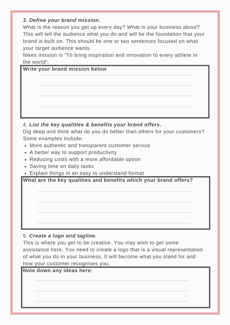# *3. Define your brand mission.*

What is the reason you get up every day? What is your business about? This will tell the audience what you do and will be the foundation that your brand is built on. This should be one or two sentences focused on what your target audience wants.

Nikes mission is "To bring inspiration and innovation to every athlete in the world".

| <b>Write your brand mission below</b> |
|---------------------------------------|
|                                       |
|                                       |
|                                       |
|                                       |
|                                       |
|                                       |

# 4. *List the key qualities & benefits your brand offers.*

Dig deep and think what do you do better than others for your customers? Some examples include:

- More authentic and transparent customer service
- A better way to support productivity
- Reducing costs with a more affordable option
- Saving time on daily tasks
- Explain things in an easy to understand format

**What are the key qualities and benefits which your brand offers?**

**\_\_\_\_\_\_\_\_\_\_\_\_\_\_\_\_\_\_\_\_\_\_\_\_\_\_\_\_\_\_\_\_\_\_\_\_\_\_\_\_\_\_\_\_\_\_**

**\_\_\_\_\_\_\_\_\_\_\_\_\_\_\_\_\_\_\_\_\_\_\_\_\_\_\_\_\_\_\_\_\_\_\_\_\_\_\_\_\_\_\_\_\_\_**

**\_\_\_\_\_\_\_\_\_\_\_\_\_\_\_\_\_\_\_\_\_\_\_\_\_\_\_\_\_\_\_\_\_\_\_\_\_\_\_\_\_\_\_\_\_\_**

**\_\_\_\_\_\_\_\_\_\_\_\_\_\_\_\_\_\_\_\_\_\_\_\_\_\_\_\_\_\_\_\_\_\_\_\_\_\_\_\_\_\_\_\_\_\_**

# 5. *Create a logo and tagline.*

This is where you get to be creative. You may wish to get some assistance here. You need to create a logo that is a visual representation of what you do in your business. It will become what you stand for and how your customer recognises you.

**\_\_\_\_\_\_\_\_\_\_\_\_\_\_\_\_\_\_\_\_\_\_\_\_\_\_\_\_\_\_\_\_\_\_\_\_\_\_\_\_\_\_\_\_\_\_**

**\_\_\_\_\_\_\_\_\_\_\_\_\_\_\_\_\_\_\_\_\_\_\_\_\_\_\_\_\_\_\_\_\_\_\_\_\_\_\_\_\_\_\_\_\_\_**

**\_\_\_\_\_\_\_\_\_\_\_\_\_\_\_\_\_\_\_\_\_\_\_\_\_\_\_\_\_\_\_\_\_\_\_\_\_\_\_\_\_\_\_\_\_\_**

# **Note down any ideas here:**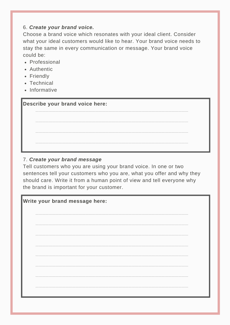## 6. *Create your brand voice.*

Choose a brand voice which resonates with your ideal client. Consider what your ideal customers would like to hear. Your brand voice needs to stay the same in every communication or message. Your brand voice could be:

- Professional
- Authentic
- Friendly
- Technical
- Informative

| <b>Describe your brand voice here:</b> |  |  |
|----------------------------------------|--|--|
|                                        |  |  |

# 7. *Create your brand message*

Tell customers who you are using your brand voice. In one or two sentences tell your customers who you are, what you offer and why they should care. Write it from a human point of view and tell everyone why the brand is important for your customer.

**\_\_\_\_\_\_\_\_\_\_\_\_\_\_\_\_\_\_\_\_\_\_\_\_\_\_\_\_\_\_\_\_\_\_\_\_\_\_\_\_\_\_\_\_\_\_**

**\_\_\_\_\_\_\_\_\_\_\_\_\_\_\_\_\_\_\_\_\_\_\_\_\_\_\_\_\_\_\_\_\_\_\_\_\_\_\_\_\_\_\_\_\_\_**

**\_\_\_\_\_\_\_\_\_\_\_\_\_\_\_\_\_\_\_\_\_\_\_\_\_\_\_\_\_\_\_\_\_\_\_\_\_\_\_\_\_\_\_\_\_\_**

| Write your brand message here: |  |  |
|--------------------------------|--|--|
|                                |  |  |
|                                |  |  |
|                                |  |  |
|                                |  |  |
|                                |  |  |
|                                |  |  |
|                                |  |  |
|                                |  |  |
|                                |  |  |
|                                |  |  |
|                                |  |  |
|                                |  |  |
|                                |  |  |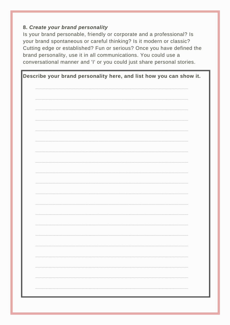# 8. Create your brand personality

Is your brand personable, friendly or corporate and a professional? Is your brand spontaneous or careful thinking? Is it modern or classic? Cutting edge or established? Fun or serious? Once you have defined the brand personality, use it in all communications. You could use a conversational manner and 'I' or you could just share personal stories.

| Describe your brand personality here, and list how you can show it. |  |  |
|---------------------------------------------------------------------|--|--|
|                                                                     |  |  |
|                                                                     |  |  |
|                                                                     |  |  |
|                                                                     |  |  |
|                                                                     |  |  |
|                                                                     |  |  |
|                                                                     |  |  |
|                                                                     |  |  |
|                                                                     |  |  |
|                                                                     |  |  |
|                                                                     |  |  |
|                                                                     |  |  |
|                                                                     |  |  |
|                                                                     |  |  |
|                                                                     |  |  |
|                                                                     |  |  |
|                                                                     |  |  |
|                                                                     |  |  |
|                                                                     |  |  |
|                                                                     |  |  |
|                                                                     |  |  |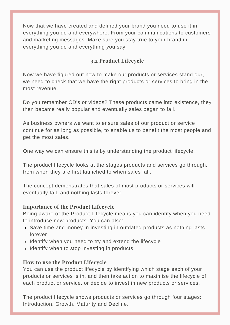Now that we have created and defined your brand you need to use it in everything you do and everywhere. From your communications to customers and marketing messages. Make sure you stay true to your brand in everything you do and everything you say.

# **3.2 Product Lifecycle**

Now we have figured out how to make our products or services stand our, we need to check that we have the right products or services to bring in the most revenue.

Do you remember CD's or videos? These products came into existence, they then became really popular and eventually sales began to fall.

As business owners we want to ensure sales of our product or service continue for as long as possible, to enable us to benefit the most people and get the most sales.

One way we can ensure this is by understanding the product lifecycle.

The product lifecycle looks at the stages products and services go through, from when they are first launched to when sales fall.

The concept demonstrates that sales of most products or services will eventually fall, and nothing lasts forever.

# **Importance of the Product Lifecycle**

Being aware of the Product Lifecycle means you can identify when you need to introduce new products. You can also:

- Save time and money in investing in outdated products as nothing lasts forever
- Identify when you need to try and extend the lifecycle
- Identify when to stop investing in products

# **How to use the Product Lifecycle**

You can use the product lifecycle by identifying which stage each of your products or services is in, and then take action to maximise the lifecycle of each product or service, or decide to invest in new products or services.

The product lifecycle shows products or services go through four stages: Introduction, Growth, Maturity and Decline.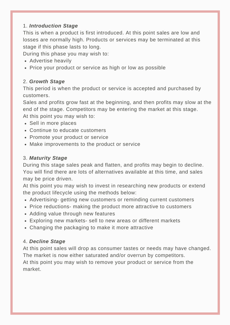# 1. *Introduction Stage*

This is when a product is first introduced. At this point sales are low and losses are normally high. Products or services may be terminated at this stage if this phase lasts to long.

During this phase you may wish to:

- Advertise heavily
- Price your product or service as high or low as possible

# 2. *Growth Stage*

This period is when the product or service is accepted and purchased by customers.

Sales and profits grow fast at the beginning, and then profits may slow at the end of the stage. Competitors may be entering the market at this stage. At this point you may wish to:

- Sell in more places
- Continue to educate customers
- Promote your product or service
- Make improvements to the product or service

# 3. *Maturity Stage*

During this stage sales peak and flatten, and profits may begin to decline. You will find there are lots of alternatives available at this time, and sales may be price driven.

At this point you may wish to invest in researching new products or extend the product lifecycle using the methods below:

- Advertising- getting new customers or reminding current customers
- Price reductions- making the product more attractive to customers
- Adding value through new features
- Exploring new markets- sell to new areas or different markets
- Changing the packaging to make it more attractive

# 4. *Decline Stage*

At this point sales will drop as consumer tastes or needs may have changed. The market is now either saturated and/or overrun by competitors.

At this point you may wish to remove your product or service from the market.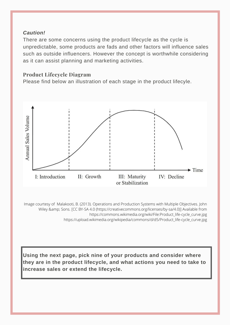# *Caution!*

There are some concerns using the product lifecycle as the cycle is unpredictable, some products are fads and other factors will influence sales such as outside influencers. However the concept is worthwhile considering as it can assist planning and marketing activities.

# **Product Lifecycle Diagram**

Please find below an illustration of each stage in the product lifecyle.



Image courtesy of Malakooti, B. (2013). Operations and Production Systems with Multiple Objectives. John Wiley & amp; Sons. [CC BY-SA 4.0 (https://creativecommons.org/licenses/by-sa/4.0)] Available from https://commons.wikimedia.org/wiki/File:Product\_life-cycle\_curve.jpg https://upload.wikimedia.org/wikipedia/commons/d/d5/Product\_life-cycle\_curve.jpg

**Using the next page, pick nine of your products and consider where they are in the product lifecycle, and what actions you need to take to increase sales or extend the lifecycle.**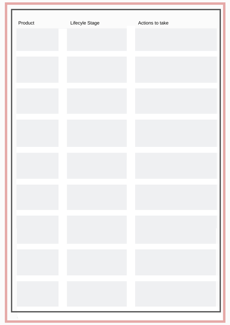| Product | Lifecyle Stage | Actions to take |
|---------|----------------|-----------------|
|         |                |                 |
|         |                |                 |
|         |                |                 |
|         |                |                 |
|         |                |                 |
|         |                |                 |
|         |                |                 |
|         |                |                 |
|         |                |                 |
|         |                |                 |
|         |                |                 |
|         |                |                 |
|         |                |                 |
|         |                |                 |
|         |                |                 |
|         |                |                 |
|         |                |                 |
|         |                |                 |
|         |                |                 |
|         |                |                 |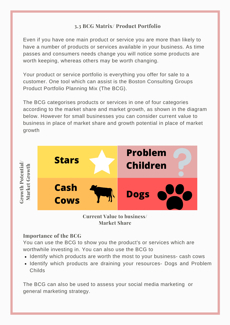# **3.3 BCG Matrix/ Product Portfolio**

Even if you have one main product or service you are more than likely to have a number of products or services available in your business. As time passes and consumers needs change you will notice some products are worth keeping, whereas others may be worth changing.

Your product or service portfolio is everything you offer for sale to a customer. One tool which can assist is the Boston Consulting Groups Product Portfolio Planning Mix (The BCG).

The BCG categorises products or services in one of four categories according to the market share and market growth, as shown in the diagram below. However for small businesses you can consider current value to business in place of market share and growth potential in place of market growth



**Current Value to business/ Market Share**

# **Importance of the BCG**

You can use the BCG to show you the product's or services which are worthwhile investing in. You can also use the BCG to

- Identify which products are worth the most to your business- cash cows
- Identify which products are draining your resources- Dogs and Problem Childs

The BCG can also be used to assess your social media marketing or general marketing strategy.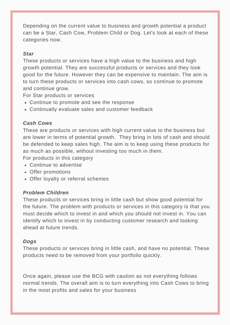Depending on the current value to business and growth potential a product can be a Star, Cash Cow, Problem Child or Dog. Let's look at each of these categories now.

#### *Star*

These products or services have a high value to the business and high growth potential. They are successful products or services and they look good for the future. However they can be expensive to maintain. The aim is to turn these products or services into cash cows, so continue to promote and continue grow.

For Star products or services

- Continue to promote and see the response
- Continually evaluate sales and customer feedback

#### *Cash Cows*

These are products or services with high current value to the business but are lower in terms of potential growth. They bring in lots of cash and should be defended to keep sales high. The aim is to keep using these products for as much as possible, without investing too much in them.

For products in this category

- Continue to advertise
- Offer promotions
- Offer loyalty or referral schemes

#### *Problem Children*

These products or services bring in little cash but show good potential for the future. The problem with products or services in this category is that you must decide which to invest in and which you should not invest in. You can identify which to invest in by conducting customer research and looking ahead at future trends.

#### *Dogs*

These products or services bring in little cash, and have no potential. These products need to be removed from your portfolio quickly.

Once again, please use the BCG with caution as not everything follows normal trends. The overall aim is to turn everything into Cash Cows to bring in the most profits and sales for your business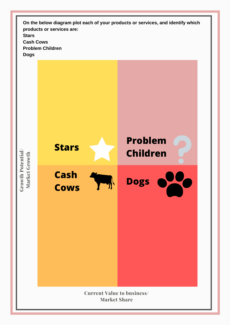**On the below diagram plot each of your products or services, and identify which products or services are: Stars Cash Cows Problem Children Dogs**

**wth P ote ntial/ Market G rowth**

**Gr o**

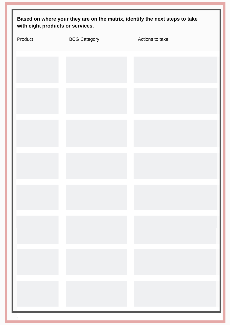| Based on where your they are on the matrix, identify the next steps to take<br>with eight products or services. |                     |                 |  |
|-----------------------------------------------------------------------------------------------------------------|---------------------|-----------------|--|
| Product                                                                                                         | <b>BCG Category</b> | Actions to take |  |
|                                                                                                                 |                     |                 |  |
|                                                                                                                 |                     |                 |  |
|                                                                                                                 |                     |                 |  |
|                                                                                                                 |                     |                 |  |
|                                                                                                                 |                     |                 |  |
|                                                                                                                 |                     |                 |  |
|                                                                                                                 |                     |                 |  |
|                                                                                                                 |                     |                 |  |
|                                                                                                                 |                     |                 |  |
|                                                                                                                 |                     |                 |  |
|                                                                                                                 |                     |                 |  |
|                                                                                                                 |                     |                 |  |
|                                                                                                                 |                     |                 |  |
|                                                                                                                 |                     |                 |  |
|                                                                                                                 |                     |                 |  |